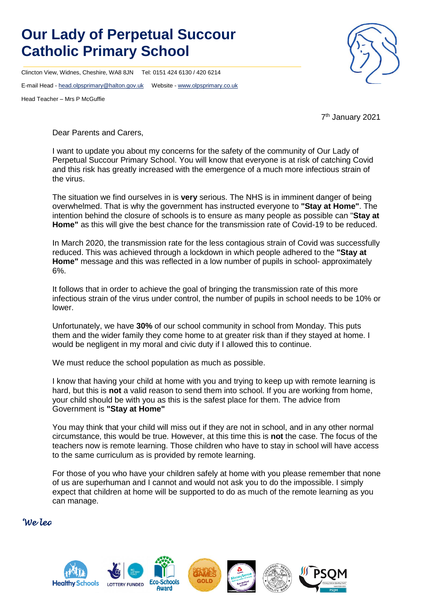## **Our Lady of Perpetual Succour Catholic Primary School**

Clincton View, Widnes, Cheshire, WA8 8JN Tel: 0151 424 6130 / 420 6214

E-mail Head - [head.olpsprimary@halton.gov.uk](mailto:head.olpsprimary@halton.gov.uk) Website - [www.olpsprimary.co.uk](http://www.olpsprimary.co.uk/)

Head Teacher – Mrs P McGuffie



7 th January 2021

Dear Parents and Carers,

I want to update you about my concerns for the safety of the community of Our Lady of Perpetual Succour Primary School. You will know that everyone is at risk of catching Covid and this risk has greatly increased with the emergence of a much more infectious strain of the virus.

The situation we find ourselves in is **very** serious. The NHS is in imminent danger of being overwhelmed. That is why the government has instructed everyone to **"Stay at Home"**. The intention behind the closure of schools is to ensure as many people as possible can "**Stay at Home"** as this will give the best chance for the transmission rate of Covid-19 to be reduced.

In March 2020, the transmission rate for the less contagious strain of Covid was successfully reduced. This was achieved through a lockdown in which people adhered to the **"Stay at Home"** message and this was reflected in a low number of pupils in school- approximately 6%.

It follows that in order to achieve the goal of bringing the transmission rate of this more infectious strain of the virus under control, the number of pupils in school needs to be 10% or lower.

Unfortunately, we have **30%** of our school community in school from Monday. This puts them and the wider family they come home to at greater risk than if they stayed at home. I would be negligent in my moral and civic duty if I allowed this to continue.

We must reduce the school population as much as possible.

I know that having your child at home with you and trying to keep up with remote learning is hard, but this is **not** a valid reason to send them into school. If you are working from home, your child should be with you as this is the safest place for them. The advice from Government is **"Stay at Home"**

You may think that your child will miss out if they are not in school, and in any other normal circumstance, this would be true. However, at this time this is **not** the case. The focus of the teachers now is remote learning. Those children who have to stay in school will have access to the same curriculum as is provided by remote learning.

For those of you who have your children safely at home with you please remember that none of us are superhuman and I cannot and would not ask you to do the impossible. I simply expect that children at home will be supported to do as much of the remote learning as you can manage.

## *'We learn to love everyone as Jesus loves us'*